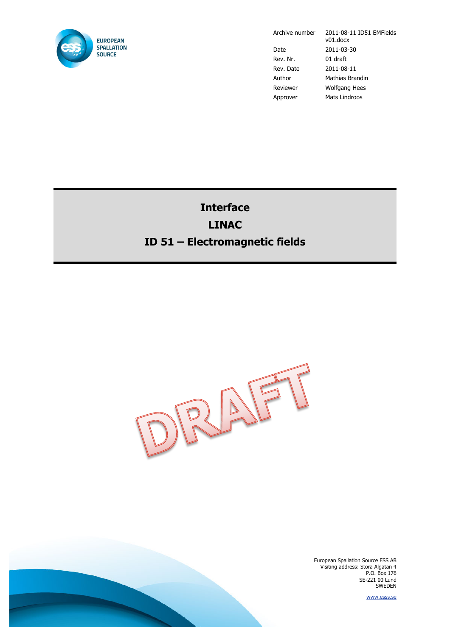

Archive number 2011-08-11 ID51 EMFields v01.docx Date 2011-03-30 Rev. Nr. 01 draft Rev. Date 2011-08-11 Author Mathias Brandin Reviewer Wolfgang Hees Approver Mats Lindroos

# **Interface LINAC ID 51 – Electromagnetic fields**



European Spallation Source ESS AB Visiting address: Stora Algatan 4 P.O. Box 176 SE-221 00 Lund SWEDEN

www.esss.se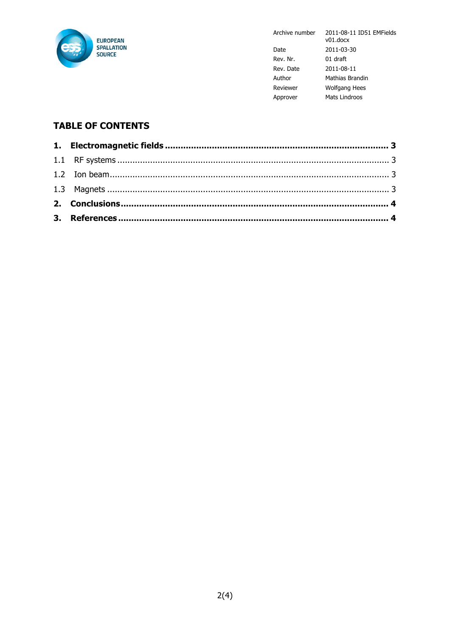

2011-08-11 ID51 EMFields Archive number  $v01$ .docx 2011-03-30 Date Rev. Nr. 01 draft Rev. Date  $2011 - 08 - 11$ Author Mathias Brandin Reviewer Wolfgang Hees Approver Mats Lindroos

## **TABLE OF CONTENTS**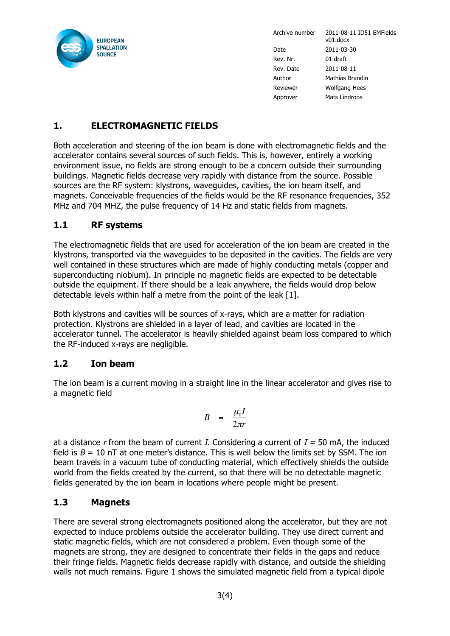

Archive number 2011-08-11 ID51 EMFields v01.docx Date 2011-03-30 Rev. Nr. 01 draft Rev. Date 2011-08-11 Author Mathias Brandin Reviewer Wolfgang Hees Approver Mats Lindroos

## **1. ELECTROMAGNETIC FIELDS**

Both acceleration and steering of the ion beam is done with electromagnetic fields and the accelerator contains several sources of such fields. This is, however, entirely a working environment issue, no fields are strong enough to be a concern outside their surrounding buildings. Magnetic fields decrease very rapidly with distance from the source. Possible sources are the RF system: klystrons, waveguides, cavities, the ion beam itself, and magnets. Conceivable frequencies of the fields would be the RF resonance frequencies, 352 MHz and 704 MHZ, the pulse frequency of 14 Hz and static fields from magnets.

### **1.1 RF systems**

The electromagnetic fields that are used for acceleration of the ion beam are created in the klystrons, transported via the waveguides to be deposited in the cavities. The fields are very well contained in these structures which are made of highly conducting metals (copper and superconducting niobium). In principle no magnetic fields are expected to be detectable outside the equipment. If there should be a leak anywhere, the fields would drop below detectable levels within half a metre from the point of the leak [1].

Both klystrons and cavities will be sources of x-rays, which are a matter for radiation protection. Klystrons are shielded in a layer of lead, and cavities are located in the accelerator tunnel. The accelerator is heavily shielded against beam loss compared to which the RF-induced x-rays are negligible.

#### **1.2 Ion beam**

The ion beam is a current moving in a straight line in the linear accelerator and gives rise to a magnetic field

$$
B = \frac{\mu_0 I}{2\pi r}
$$

beam travels in a vacuum tube of conducting material, which effectively shields the outside at a distance r from the beam of current I. Considering a current of  $I = 50$  mA, the induced field is  $B = 10$  nT at one meter's distance. This is well below the limits set by SSM. The ion world from the fields created by the current, so that there will be no detectable magnetic fields generated by the ion beam in locations where people might be present.

#### **1.3 Magnets**

There are several strong electromagnets positioned along the accelerator, but they are not expected to induce problems outside the accelerator building. They use direct current and static magnetic fields, which are not considered a problem. Even though some of the magnets are strong, they are designed to concentrate their fields in the gaps and reduce their fringe fields. Magnetic fields decrease rapidly with distance, and outside the shielding walls not much remains. Figure 1 shows the simulated magnetic field from a typical dipole